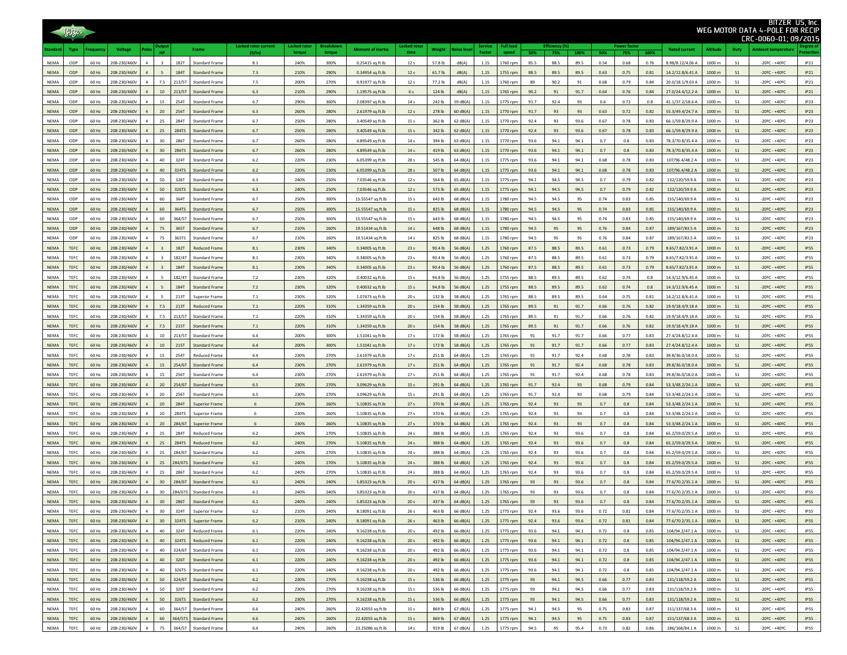| Bitzer<br>WEG MOTOR DATA 4-POLE FOR RECIP |                     |                |                              |                |                 |                       |                                               |                                        |                      |                           |                                       | CRC-0060-01; 09/2015               | BITZER US, Inc.  |                      |                   |                      |               |              |              |              |              |              |                                      |                              |                                  |                                                                                            |                            |
|-------------------------------------------|---------------------|----------------|------------------------------|----------------|-----------------|-----------------------|-----------------------------------------------|----------------------------------------|----------------------|---------------------------|---------------------------------------|------------------------------------|------------------|----------------------|-------------------|----------------------|---------------|--------------|--------------|--------------|--------------|--------------|--------------------------------------|------------------------------|----------------------------------|--------------------------------------------------------------------------------------------|----------------------------|
|                                           | <b>Type</b>         | equency        | <b>Voltage</b>               | Pole           | <b>HP</b>       |                       | Frame                                         | <b>Locked rotor current</b><br>(11/1n) | ocked roto<br>torque | <b>Breakdow</b><br>torque | <b>Moment of inertia</b>              | cked ro<br>time                    | Weight           | <b>Noise leve</b>    | iervice<br>Factor | ull load             | 50%           | 75%          | 100%         | 50%          | 75%          | 100%         | <b>Rated current</b>                 | <b>Altitude</b>              | Duty                             | Ambient temperatur                                                                         |                            |
| <b>NEMA</b>                               | ODP                 | 60 Hz          | 208-230/460V                 | $\overline{a}$ | $\mathbf{R}$    | <b>182T</b>           | Standard Frame                                | 8.1                                    | 240%                 | 300%                      | 0.25415 sq.ft.lb                      | 12 <sub>s</sub>                    | 57.8 lb          | dB(A)                | 1.15              | 1760 rpm             | 85.5          | 88.5         | 89.5         | 0.54         | 0.68         | 0.76         | 8.98/8.12/4.06 A                     | 1000 m                       | S <sub>1</sub>                   | $-20$ ºC - $+40$ ºC                                                                        | IP21                       |
| <b>NEMA</b>                               | ODP                 | 60 Hz          | 208-230/460V                 |                |                 | <b>184T</b>           | Standard Fram                                 | 7.3                                    | 210%                 | 290%                      | 0.34954 sq.ft.lb                      | 12 <sub>s</sub>                    | 61.7 lb          | dB(A)                | 1.15              | 1755 rpm             | 88.5          | 89.5         | 89.5         | 0.63         | 0.75         | 0.81         | 14.2/12.8/6.41 A                     | 1000 m                       | S <sub>1</sub>                   | $-20$ <sup>o</sup> C - +40 <sup>o</sup> C                                                  | IP21                       |
| <b>NEMA</b>                               | ODP<br>ODP          | 60 Hz<br>60 Hz | 208-230/460V<br>208-230/460V |                | 7.5<br>$10\,$   | 213/5T<br>213/5T      | Standard Frame<br>Standard Frame              | 7.5<br>6.3                             | 200%<br>210%         | 270%<br>290%              | 0.91977 sq.ft.lb                      | 12 <sub>s</sub><br>6 s             | 77.2 lb          | dB(A)<br>dB(A)       | 1.15<br>1.15      | 1760 rpm             | 89<br>90.2    | 90.2<br>91   | 91<br>91.7   | 0.68<br>0.64 | 0.79<br>0.76 | 0.84<br>0.84 | 20.0/18.1/9.03 A<br>27.0/24.4/12.2 A | 1000 m<br>1000 m             | S <sub>1</sub><br>S <sub>1</sub> | $-20$ ºC - $+40$ ºC                                                                        | IP21<br>IP21               |
| NEMA<br>NEMA                              | ODP                 | 60 Hz          | 208-230/460V                 |                | 15              | 254T                  | <b>Standard Frame</b>                         | 6.7                                    | 290%                 | 300%                      | 1.19575 sq.ft.lb<br>2.08397 sq.ft.lb  | 14 <sub>s</sub>                    | 124 lb<br>242 lb | 59 dB(A)             | 1.15              | 1765 rpm<br>1775 rpm | 91.7          | 92.4         | 93           | 0.6          | 0.72         | 0.8          | 41.1/37.2/18.6 A                     | 1000 m                       | S <sub>1</sub>                   | $-20$ ºC - $+40$ ºC<br>$-20$ ºC - $+40$ ºC                                                 | IP23                       |
| <b>NEMA</b>                               | ODP                 | 60 Hz          | 208-230/460V                 |                | 20              | 256T                  | <b>Standard Frame</b>                         | $6.3\,$                                | 260%                 | 280%                      | 2.61979 sq.ft.lb                      | 12 <sub>s</sub>                    | 278 lb           | 60 dB(A)             | 1.15              | 1770 rpm             | 91.7          | 93           | 93           | 0.63         | 0.72         | 0.82         | 55.3/49.4/24.7 A                     | 1000 m                       | S <sub>1</sub>                   | $-20$ <sup>o</sup> C - +40 <sup>o</sup> C                                                  | IP23                       |
| NEMA                                      | ODP                 | 60 Hz          | 208-230/460V                 |                | 25              | <b>284T</b>           | Standard Frame                                | 6.7                                    | 250%                 | 280%                      | 3.40549 sq.ft.lb                      | 15 s                               | 362 lb           | 62 dB(A)             | 1.15              | 1770 rpm             | 92.4          | 93           | 93.6         | 0.67         | 0.78         | 0.83         | 66.1/59.8/29.9 A                     | 1000 m                       | S <sub>1</sub>                   | $-20$ ºC - $+40$ ºC                                                                        | IP23                       |
| <b>NEMA</b>                               | ODP                 | 60 Hz          | 208-230/460V                 |                | 25              | <b>284TS</b>          | Standard Frame                                | 6.7                                    | 250%                 | 280%                      | 3.40549 sq.ft.lb                      | 15 s                               | 342 lb           | 62 dB(A)             | 1.15              | 1770 rpm             | 92.4          | 93           | 93.6         | 0.67         | 0.78         | 0.83         | 66.1/59.8/29.9 A                     | 1000 m                       | S <sub>1</sub>                   | $-20$ ºC - $+40$ ºC                                                                        | IP23                       |
| NEMA                                      | ODP                 | 60 Hz          | 208-230/460V                 |                | $30\,$          | 286T                  | Standard Fram                                 | 6.7                                    | 260%                 | 280%                      | 4.89549 sq.ft.lb                      | 14 s                               | 394 lb           | 63 dB(A)             | 1.15              | 1770 rpm             | 93.6          | 94.1         | 94.1         | $0.7\,$      | 0.8          | 0.83         | 78.3/70.8/35.4 A                     | 1000 m                       | S <sub>1</sub>                   | $-20$ ºC - $+40$ ºC                                                                        | IP23                       |
| NEMA                                      | ODP<br>ODP          | 60 Hz          | 208-230/460V<br>208-230/460V |                | 30<br>40        | 286TS<br>324T         | Standard Frame<br>Standard Frame              | 6.7                                    | 260%<br>220%         | 280%                      | 4.89549 sq.ft.lb                      | 14 <sub>s</sub><br>28 <sub>s</sub> | 419 lb<br>545 lb | 63 dB(A)<br>64 dB(A) | 1.15<br>1.15      | 1770 rpm             | 93.6<br>93.6  | 94.1<br>94.1 | 94.1<br>94.1 | 0.7          | 0.8<br>0.78  | 0.83<br>0.83 | 78.3/70.8/35.4 A                     | 1000 m<br>1000 m             | S <sub>1</sub><br>S <sub>1</sub> | $-20$ <sup>Q</sup> C - $+40$ <sup>Q</sup> C                                                | IP23                       |
| NEMA<br>NEMA                              | ODP                 | 60 Hz<br>60 Hz | 208-230/460V                 |                | 40              | 324TS                 | Standard Frame                                | $6.2\,$<br>$6.2\,$                     | 220%                 | 230%<br>230%              | 6.05399 sq.ft.lb<br>6.05399 sq.ft.lb  | 28 s                               | 507 lb           | 64 dB(A)             | 1.15              | 1775 rpm<br>1775 rpm | 93.6          | 94.1         | 94.1         | 0.68<br>0.68 | 0.78         | 0.83         | 107/96.4/48.2 A<br>107/96.4/48.2 A   | 1000 m                       | S <sub>1</sub>                   | $-20$ <sup>9</sup> C - $+40$ <sup>9</sup> C<br>$-20$ <sup>Q</sup> C - $+40$ <sup>Q</sup> C | IP23<br>IP23               |
| NEMA                                      | ODP                 | 60 Hz          | 208-230/460V                 |                | 50              | 326T                  | <b>Standard Frame</b>                         | 6.3                                    | 240%                 | 250%                      | 7.03546 sq.ft.lb                      | 12 <sub>s</sub>                    | 564 lb           | 65 dB(A)             | 1.15              | 1775 rpm             | 94.1          | 94.5         | 94.5         | 0.7          | 0.79         | 0.82         | 132/120/59.9 A                       | 1000 m                       | S <sub>1</sub>                   | $-20$ ºC - +40ºC                                                                           | IP23                       |
| <b>NEMA</b>                               | ODP                 | 60 Hz          | 208-230/460V                 |                | 50              | 326TS                 | <b>Standard Frame</b>                         | 6.3                                    | 240%                 | 250%                      | 7.03546 sq.ft.lb                      | 12 <sub>s</sub>                    | 573 lb           | 65 dB(A)             | 1.15              | 1775 rpm             | 94.1          | 94.5         | 94.5         | 0.7          | 0.79         | 0.82         | 132/120/59.9 A                       | 1000 m                       | S <sub>1</sub>                   | $-20$ ºC - $+40$ ºC                                                                        | IP23                       |
| <b>NEMA</b>                               | ODP                 | 60 Hz          | 208-230/460V                 |                | 60              | 364T                  | <b>Standard Frame</b>                         | 6.7                                    | 250%                 | 300%                      | 15.55547 sq.ft.lb                     | 15 <sub>s</sub>                    | 643 lb           | 68 dB(A)             | 1.15              | 1780 rpm             | 94.5          | 94.5         | 95           | 0.74         | 0.83         | 0.85         | 155/140/69.9 A                       | 1000 m                       | S <sub>1</sub>                   | $-20$ ºC - +40ºC                                                                           | IP23                       |
| <b>NEMA</b>                               | ODP                 | 60 Hz          | 208-230/460V                 |                | 60              | 364TS                 | <b>Standard Frame</b>                         | 6.7                                    | 250%                 | 300%                      | 15.55547 sq.ft.lb                     | 15 <sub>s</sub>                    | 825 lb           | 68 dB(A)             | 1.15              | 1780 rpm             | 94.5          | 94.5         | 95           | 0.74         | 0.83         | 0.85         | 155/140/69.9 A                       | 1000 m                       | S <sub>1</sub>                   | $-20$ ºC - +40ºC                                                                           | IP23                       |
| <b>NEMA</b>                               | ODP                 | 60 Hz          | 208-230/460V                 |                | 60              | 364/5T                | <b>Standard Frame</b>                         | 6.7                                    | 250%                 | 300%                      | 15.55547 sq.ft.lb                     | 15 s                               | 643 lb           | 68 dB(A)             | 1.15              | 1780 rpm             | 94.5          | 94.5         | 95           | 0.74         | 0.83         | 0.85         | 155/140/69.9 A                       | 1000 m                       | S <sub>1</sub>                   | $-20$ ºC - $+40$ ºC                                                                        | IP23                       |
| NEMA<br><b>NEMA</b>                       | ODP<br>ODP          | 60 Hz<br>60 Hz | 208-230/460V<br>208-230/460V |                | 75<br>75        | 365T<br><b>365TS</b>  | Standard Frame<br><b>Standard Frame</b>       | 6.7<br>6.7                             | 210%<br>210%         | 260%<br>260%              | 19.51434 sq.ft.lb                     | 14 s<br>14 <sub>s</sub>            | 648 lb<br>825 lb | 68 dB(A)<br>68 dB(A) | 1.15<br>1.15      | 1780 rpm             | 94.5<br>94.5  | 95<br>95     | 95           | 0.76<br>0.76 | 0.84<br>0.84 | 0.87<br>0.87 | 189/167/83.5 A                       | 1000 m<br>1000 m             | S <sub>1</sub><br>S <sub>1</sub> | $-20$ ºC - $+40$ ºC<br>$-20$ ºC - $+40$ ºC                                                 | IP23<br>IP23               |
| NEMA                                      | TEFC                | 60 Hz          | 208-230/460V                 |                |                 | 182T                  | <b>Reduced Frame</b>                          | 8.1                                    | 230%                 | 340%                      | 19.51434 sq.ft.lb<br>0.34005 sq.ft.lb | 23s                                | 90.4 lb          | 56 dB(A)             | 1.25              | 1780 rpm<br>1760 rpm | 87.5          | 88.5         | 95<br>89.5   | 0.61         | 0.73         | 0.79         | 189/167/83.5 A<br>8.65/7.82/3.91 A   | $1000 \text{ m}$             | S <sub>1</sub>                   | $-20$ <sup>o</sup> C - $+40$ <sup>o</sup> C                                                | <b>IP55</b>                |
| NEMA                                      | TEFC                | 60 Hz          | 208-230/460V                 |                |                 | 182/4T                | <b>Standard Frame</b>                         | 8.1                                    | 230%                 | 340%                      | 0.34005 sq.ft.lb                      | 23 s                               | 90.4 lb          | 56 dB(A)             | 1.25              | 1760 rpm             | 87.5          | 88.5         | 89.5         | 0.61         | 0.73         | 0.79         | 8.65/7.82/3.91 A                     | 1000 m                       | S <sub>1</sub>                   | $-20$ ºC - $+40$ ºC                                                                        | <b>IP55</b>                |
| <b>NEMA</b>                               | TEFC                | 60 Hz          | 208-230/460V                 | $\overline{4}$ |                 | 184T                  | Standard Frame                                | 8.1                                    | 230%                 | 340%                      | 0.34005 sq.ft.lb                      | 23s                                | 90.4 lb          | 56 dB(A)             | 1.25              | 1760 rpm             | 87.5          | 88.5         | 89.5         | 0.61         | 0.73         | 0.79         | 8.65/7.82/3.91 A                     | 1000 m                       | S <sub>1</sub>                   | $-20$ <sup>o</sup> C - $+40$ <sup>o</sup> C                                                | <b>IP55</b>                |
| NEMA                                      | <b>TEFC</b>         | 60 Hz          | 208-230/460V                 |                |                 | 182/4T                | <b>Standard Frame</b>                         | 7.2                                    | 230%                 | 320%                      | 0.40032 sq.ft.lb                      | 15 s                               | 94.8 lb          | 56 dB(A)             | 1.25              | 1755 rpm             | 88.5          | 89.5         | 89.5         | 0.62         | 0.74         | 0.8          | 14.3/12.9/6.45 A                     | 1000 m                       | S <sub>1</sub>                   | $-20$ ºC - $+40$ ºC                                                                        | <b>IP55</b>                |
| <b>NEMA</b>                               | <b>TEFC</b>         | 60 Hz          | 208-230/460V                 |                |                 | 184T                  | Standard Frame                                | 7.2                                    | 230%                 | 320%                      | 0.40032 sq.ft.lb                      | 15 <sub>s</sub>                    | 94.8 lb          | 56 dB(A)             | 1.25              | 1755 rpm             | 88.5          | 89.5         | 89.5         | 0.62         | 0.74         | 0.8          | 14.3/12.9/6.45 A                     | 1000 m                       | S <sub>1</sub>                   | $-20$ <sup>o</sup> C - $+40$ <sup>o</sup> C                                                | <b>IP55</b>                |
| NEMA                                      | <b>TEFC</b>         | 60 Hz          | 208-230/460V                 |                |                 | 213T                  | <b>Superior Frame</b>                         | 7.1                                    | 230%                 | 320%                      | 1.07473 sq.ft.lb                      | 20 <sub>s</sub>                    | 132 lb           | 58 dB(A)             | 1.25              | 1765 rpm             | 88.5          | 89.5         | 89.5         | 0.64         | 0.75         | 0.81         | 14.2/12.8/6.41 A                     | 1000 m                       | S <sub>1</sub>                   | $-20$ ºC - $+40$ ºC                                                                        | <b>IP55</b>                |
| <b>NEMA</b><br><b>NEMA</b>                | <b>TEFC</b><br>TEFC | 60 Hz<br>60 Hz | 208-230/460V<br>208-230/460V |                | 7.5<br>7.5      | 213T<br>213/5T        | <b>Reduced Frame</b><br>Standard Frame        | 7.1<br>7.1                             | 220%<br>220%         | 310%<br>310%              | 1.34359 sq.ft.lb<br>1.34359 sq.ft.lb  | 20 <sub>s</sub><br>20 <sub>s</sub> | 154 lb<br>154 lb | 58 dB(A)<br>58 dB(A) | 1.25<br>1.25      | 1765 rpm<br>1765 rpm | 89.5<br>89.5  | 91<br>91     | 91.7<br>91.7 | 0.66<br>0.66 | 0.76<br>0.76 | 0.82<br>0.82 | 19.9/18.4/9.18 A<br>19.9/18.4/9.18 A | 1000 m<br>1000 m             | S <sub>1</sub><br>S <sub>1</sub> | $-20$ ºC - +40ºC<br>$-20$ ºC - $+40$ ºC                                                    | <b>IP55</b><br><b>IP55</b> |
| <b>NEMA</b>                               | <b>TEFC</b>         | 60 Hz          | 208-230/460V                 |                | 7.5             | 215T                  | <b>Standard Frame</b>                         | 7.1                                    | 220%                 | 310%                      | 1.34359 sq.ft.lb                      | 20 <sub>s</sub>                    | 154 lb           | 58 dB(A)             | 1.25              | 1765 rpm             | 89.5          | 91           | 91.7         | 0.66         | 0.76         | 0.82         | 19.9/18.4/9.18 A                     | 1000 m                       | S <sub>1</sub>                   | $-20$ <sup>Q</sup> C - $+40$ <sup>Q</sup> C                                                | <b>IP55</b>                |
| NEMA                                      | TEFC                | 60 Hz          | 208-230/460V                 |                | $10\,$          | 213/5T                | Standard Frame                                | 6.4                                    | 200%                 | 300%                      | 1.51041 sq.ft.lb                      | 17 s                               | 172 lb           | 58 dB(A)             | 1.25              | 1765 rpm             | 91            | 91.7         | 91.7         | 0.66         | 0.77         | 0.83         | 27.4/24.8/12.4 A                     | 1000 m                       | S <sub>1</sub>                   | $-20$ ºC - $+40$ ºC                                                                        | <b>IP55</b>                |
| <b>NEMA</b>                               | TEFC                | 60 Hz          | 208-230/460V                 |                | $10$            | 215T                  | Standard Fram                                 | 6.4                                    | 200%                 | 300%                      | 1.51041 sq.ft.lb                      | 17 s                               | 172 lb           | 58 dB(A)             | 1.25              | 1765 rpm             | 91            | 91.7         | 91.7         | 0.66         | 0.77         | 0.83         | 27.4/24.8/12.4 A                     | 1000 m                       | S <sub>1</sub>                   | $-20$ ºC - $+40$ ºC                                                                        | <b>IP55</b>                |
| <b>NEMA</b>                               | <b>TEFC</b>         | 60 Hz          | 208-230/460V                 |                | 15              | 254T                  | <b>Reduced Frame</b>                          | $6.4\,$                                | 230%                 | 270%                      | 2.61979 sq.ft.lb                      | 17 s                               | 251 lb           | 64 dB(A)             | 1.25              | 1765 rpm             | $\mathsf{91}$ | 91.7         | 92.4         | 0.68         | 0.78         | 0.83         | 39.8/36.0/18.0 A                     | 1000 m                       | S <sub>1</sub>                   | $-20$ ºC - $+40$ ºC                                                                        | <b>IP55</b>                |
| <b>NEMA</b>                               | TEFC                | 60 Hz          | 208-230/460V                 |                | 15              | 254/61                | Standard Frame                                | 6.4                                    | 230%                 | 270%                      | 2.61979 sq.ft.lb                      | 17 s                               | 251 lb           | 64 dB(A)             | 1.25              | 1765 rpm             | 91            | 91.7         | 92.4         | 0.68         | 0.78         | 0.83         | 39.8/36.0/18.0 A                     | 1000 m                       | S <sub>1</sub>                   | $-20$ <sup>Q</sup> C - $+40$ <sup>Q</sup> C                                                | <b>IP55</b>                |
| NEMA                                      | TEFC                | 60 Hz          | 208-230/460V                 |                | $15\,$          | 256T                  | Standard Frame                                | $6.4\,$                                | 230%                 | 270%                      | 2.61979 sq.ft.lb                      | 17 s                               | 251 lb           | 64 dB(A)             | 1.25              | 1765 rpm             | $\mathsf{91}$ | 91.7         | 92.4         | 0.68         | 0.78         | 0.83         | 39.8/36.0/18.0 A                     | 1000 m                       | S <sub>1</sub>                   | $-20$ ºC - $+40$ ºC                                                                        | <b>IP55</b>                |
| <b>NEMA</b><br>NEMA                       | TEFC<br>TEFC        | 60 Hz<br>60 Hz | 208-230/460V<br>208-230/460V |                | 20<br>20        | 254/6T<br><b>256T</b> | Standard Frame<br>Standard Frame              | $6.5\,$<br>$6.5\,$                     | 230%<br>230%         | 270%<br>270%              | 3.09629 sq.ft.lb<br>3.09629 sq.ft.lb  | 15 s<br>15 s                       | 291 lb<br>291 lb | 64 dB(A)<br>64 dB(A) | 1.25<br>1.25      | 1765 rpm<br>1765 rpm | 91.7<br>91.7  | 92.4<br>92.4 | 93<br>93     | 0.68<br>0.68 | 0.79<br>0.79 | 0.84<br>0.84 | 53.3/48.2/24.1 A<br>53.3/48.2/24.1 A | 1000 m<br>1000 m             | S <sub>1</sub><br>S <sub>1</sub> | $-20$ ºC - $+40$ ºC<br>$-20$ ºC - $+40$ ºC                                                 | <b>IP55</b><br><b>IP55</b> |
| NEMA                                      | <b>TEFC</b>         | 60 Hz          | 208-230/460V                 |                | 20              | <b>284T</b>           | <b>Superior Frame</b>                         | 6                                      | 230%                 | 260%                      | 5.10835 sq.ft.lb                      | 27 <sub>s</sub>                    | 370 lb           | 64 dB(A)             | 1.25              | 1765 rpm             | 92.4          | 93           | 93           | 0.7          | 0.8          | 0.84         | 53.3/48.2/24.1 A                     | 1000 m                       | S <sub>1</sub>                   | $-20$ <sup>Q</sup> C - $+40$ <sup>Q</sup> C                                                | <b>IP55</b>                |
| NEMA                                      | <b>TEFC</b>         | 60 Hz          | 208-230/460V                 |                | 20              | 284TS                 | <b>Superior Frame</b>                         | 6                                      | 230%                 | 260%                      | 5.10835 sq.ft.lb                      | 27 <sub>s</sub>                    | 370 lb           | 64 dB(A)             | 1.25              | 1765 rpm             | 92.4          | 93           | 93           | 0.7          | $0.8\,$      | 0.84         | 53.3/48.2/24.1 A                     | 1000 m                       | S <sub>1</sub>                   | $-20$ ºC - $+40$ ºC                                                                        | <b>IP55</b>                |
| NEMA                                      | <b>TEFC</b>         | 60 Hz          | 208-230/460V                 |                | 20              | 284/61                | <b>Superior Frame</b>                         | 6                                      | 230%                 | 260%                      | 5.10835 sq.ft.lb                      | 27 <sub>s</sub>                    | 370 lb           | 64 dB(A)             | 1.25              | 1765 rpm             | 92.4          | 93           | 93           | 0.7          | 0.8          | 0.84         | 53.3/48.2/24.1 A                     | 1000 m                       | S <sub>1</sub>                   | $-20$ <sup>Q</sup> C - $+40$ <sup>Q</sup> C                                                | <b>IP55</b>                |
| <b>NEMA</b>                               | TEFC                | 60 Hz          | 208-230/460V                 |                | 25              | 284T                  | <b>Reduced Frame</b>                          | 6.2                                    | 240%                 | 270%                      | 5.10835 sq.ft.lb                      | 24s                                | 388 lb           | 64 dB(A)             | 1.25              | 1765 rpm             | 92.4          | 93           | 93.6         | 0.7          | 0.8          | 0.84         | 65.2/59.0/29.5 A                     | 1000 m                       | S <sub>1</sub>                   | $-20$ ºC - $+40$ ºC                                                                        | <b>IP55</b>                |
| <b>NEMA</b>                               | <b>TEFC</b>         | 60 Hz          | 208-230/460V                 |                | 25              | 284TS                 | <b>Reduced Frame</b>                          | 6.2                                    | 240%                 | 270%                      | 5.10835 sq.ft.lb                      | 24s                                | 388 lb           | 64 dB(A)             | 1.25              | 1765 rpm             | 92.4          | 93           | 93.6         | 0.7          | 0.8          | 0.84         | 65.2/59.0/29.5 A                     | 1000 m                       | S <sub>1</sub>                   | $-20$ ºC - +40ºC                                                                           | <b>IP55</b>                |
| <b>NEMA</b><br><b>NEMA</b>                | TEFC<br><b>TEFC</b> | 60 Hz<br>60 Hz | 208-230/460V<br>208-230/460V |                | 25<br>25        | 284/6T<br>284/6TS     | Standard Frame<br>Standard Frame              | 6.2<br>$6.2\,$                         | 240%<br>240%         | 270%<br>270%              | 5.10835 sq.ft.lb                      | 24s<br>24s                         | 388 lb<br>388 lb | 64 dB(A)<br>64 dB(A) | 1.25<br>1.25      | 1765 rpm<br>1765 rpm | 92.4<br>92.4  | 93<br>93     | 93.6<br>93.6 | 0.7<br>0.7   | 0.8<br>0.8   | 0.84<br>0.84 | 65.2/59.0/29.5 A<br>65.2/59.0/29.5 A | 1000 m<br>1000 m             | S <sub>1</sub><br>S <sub>1</sub> | $-20$ ºC - $+40$ ºC<br>$-20$ <sup>o</sup> C - $+40$ <sup>o</sup> C                         | <b>IP55</b><br><b>IP55</b> |
| <b>NEMA</b>                               | TFFC.               | 60 Hz          | 208-230/460V                 |                | 25              | 286T                  | Standard Frame                                | $6.2\,$                                | 240%                 | 270%                      | 5.10835 sq.ft.lb<br>5.10835 sq.ft.lb  | 24s                                | 388 lb           | 64 dB(A)             | 1.25              | 1765 rpm             | 92.4          | 93           | 93.6         | 0.7          | 0.8          | 0.84         | 65.2/59.0/29.5 A                     | 1000 m                       | S <sub>1</sub>                   | $-20$ ºC - $+40$ ºC                                                                        | IP55                       |
| <b>NEMA</b>                               | <b>TEFC</b>         | 60 Hz          | 208-230/460V                 |                | 30 <sup>°</sup> | 284/6T                | <b>Standard Frame</b>                         | $6.1\,$                                | 240%                 | 240%                      | 5.85323 sq.ft.lb                      | 20 <sub>s</sub>                    | 437 lb           | 64 dB(A)             | 1.25              | 1765 rpm             | 93            | 93           | 93.6         | 0.7          | 0.8          | 0.84         | 77.6/70.2/35.1 A                     | 1000 m                       | S <sub>1</sub>                   | $-20$ ºC - +40ºC                                                                           | <b>IP55</b>                |
| NEMA                                      | TEFC                | 60 Hz          | 208-230/460V                 | $\sim$         |                 |                       | 30 284/6TS Standard Frame                     | $6.1\,$                                | 240%                 | 240%                      | 5.85323 sq.ft.lb                      | 20 <sub>s</sub>                    | 437 lb           | 64 dB(A)             | 1.25              | 1765 rpm             | 93            | 93           | 93.6         | 0.7          | 0.8          | 0.84         | 77.6/70.2/35.1 A                     | 1000 m                       | S <sub>1</sub>                   | $-20$ ºC - $+40$ ºC                                                                        | <b>IP55</b>                |
| NEMA                                      | <b>TEFC</b>         | 60 Hz          | 208-230/460V                 |                | 30 <sup>°</sup> | 286T                  | <b>Standard Frame</b>                         | 6.1                                    | 240%                 | 240%                      | 5.85323 sq.ft.lb                      | 20 <sub>s</sub>                    | 437 lb           | 64 dB(A)             | 1.25              | 1765 rpm             | 93            | 93           | 93.6         | 0.7          | 0.8          | 0.84         | 77.6/70.2/35.1 A                     | 1000 m                       | S <sub>1</sub>                   | $-20$ <sup>o</sup> C - $+40$ <sup>o</sup> C                                                | <b>IP55</b>                |
| NEMA                                      | TEFC                | 60 Hz          | 208-230/460V                 | $\overline{4}$ | 30 <sub>2</sub> | 324T                  | <b>Superior Frame</b>                         | 6.2                                    | 210%                 | 240%                      | 8.18091 sq.ft.lb                      | 26 s                               | 463 lb           | 66 dB(A)             | 1.25              | 1775 rpm             | 92.4          | 93.6         | 93.6         | 0.72         | 0.81         | 0.84         | 77.6/70.2/35.1 A                     | 1000 m                       | S <sub>1</sub>                   | $-20$ ºC - $+40$ ºC                                                                        | <b>IP55</b>                |
| NEMA                                      | <b>TEFC</b>         | 60 Hz          | 208-230/460V                 |                | 30 <sub>o</sub> | 324TS                 | Superior Frame                                | 6.2                                    | 210%                 | 240%                      | 8.18091 sq.ft.lb                      | 26s                                | 463 lb           | 66 dB(A)             | 1.25              | 1775 rpm             | 92.4          | 93.6         | 93.6         | 0.72         | 0.81         | 0.84         | 77.6/70.2/35.1 A                     | $1000 \text{ m}$             | S <sub>1</sub>                   | $-20$ <sup>o</sup> C - $+40$ <sup>o</sup> C                                                | <b>IP55</b>                |
| NEMA<br>NEMA                              | TEFC<br><b>TEFC</b> | 60 Hz<br>60 Hz | 208-230/460V<br>208-230/460V | $\overline{4}$ | 40<br>40        | 324T                  | Reduced Frame<br>324TS Reduced Frame          | 6.1<br>6.1                             | 220%<br>220%         | 240%<br>240%              | 9.16238 sq.ft.lb<br>9.16238 sq.ft.lb  | 20 <sub>s</sub><br>20 <sub>s</sub> | 492 lb<br>492 lb | 66 dB(A)<br>66 dB(A) | 1.25<br>1.25      | 1775 rpm<br>1775 rpm | 93.6<br>93.6  | 94.1<br>94.1 | 94.1<br>94.1 | 0.72<br>0.72 | 0.8<br>0.8   | 0.85<br>0.85 | 104/94.2/47.1 A<br>104/94.2/47.1 A   | 1000 m<br>1000 m             | S <sub>1</sub><br>S <sub>1</sub> | $-20$ ºC - $+40$ ºC<br>$-20$ <sup>o</sup> C - $+40$ <sup>o</sup> C                         | <b>IP55</b><br><b>IP55</b> |
| <b>NEMA</b>                               | TEFC                | 60 Hz          | 208-230/460V                 |                | 40              |                       | 324/6T Standard Frame                         | 6.1                                    | 220%                 | 240%                      | 9.16238 sq.ft.lb                      | 20 <sub>s</sub>                    | 492 lb           | 66 dB(A)             | 1.25              | 1775 rpm             | 93.6          | 94.1         | 94.1         | 0.72         | 0.8          | 0.85         | 104/94.2/47.1 A                      | 1000 m                       | S <sub>1</sub>                   | $-20$ ºC - $+40$ ºC                                                                        | <b>IP55</b>                |
| <b>NEMA</b>                               | <b>TEFC</b>         | 60 Hz          | 208-230/460V                 |                | 40              | 326T                  | <b>Standard Frame</b>                         | $6.1\,$                                | 220%                 | 240%                      | 9.16238 sq.ft.lb                      | 20 <sub>s</sub>                    | 492 lb           | 66 dB(A)             | 1.25              | 1775 rpm             | 93.6          | 94.1         | 94.1         | 0.72         | 0.8          | 0.85         | 104/94.2/47.1 A                      | 1000 m                       | S <sub>1</sub>                   | $-20$ ºC - $+40$ ºC                                                                        | <b>IP55</b>                |
| <b>NEMA</b>                               | TEFC                | 60 Hz          | 208-230/460V                 | $\overline{a}$ | 40              | 326TS                 | <b>Standard Frame</b>                         | $6.1\,$                                | 220%                 | 240%                      | 9.16238 sq.ft.lb                      | 20 <sub>s</sub>                    | 492 lb           | 66 dB(A)             | 1.25              | 1775 rpm             | 93.6          | 94.1         | 94.1         | 0.72         | 0.8          | 0.85         | 104/94.2/47.1 A                      | 1000 m                       | S <sub>1</sub>                   | $-20$ ºC - $+40$ ºC                                                                        | <b>IP55</b>                |
| NEMA                                      | TEFC                | 60 Hz          | 208-230/460V                 |                | 50              | 324/6T                | <b>Standard Frame</b>                         | $6.2\,$                                | 230%                 | 270%                      | 9.16238 sq.ft.lb                      | 15 s                               | 536 lb           | 66 dB(A)             | 1.25              | 1775 rpm             | 93            | 94.1         | 94.5         | 0.66         | 0.77         | 0.83         | 131/118/59.2 A                       | $1000 \text{ m}$             | S <sub>1</sub>                   | $-20$ <sup>o</sup> C - $+40$ <sup>o</sup> C                                                | <b>IP55</b>                |
| NEMA                                      | TEFC                | 60 Hz          | 208-230/460V                 | $\overline{a}$ | 50              | 326T                  | Standard Frame                                | $6.2\,$                                | 230%                 | 270%                      | 9.16238 sq.ft.lb                      | 15 s                               | 536 lb           | 66 dB(A)             | 1.25              | 1775 rpm             | 93            | 94.1         | 94.5         | 0.66         | 0.77         | 0.83         | 131/118/59.2 A                       | 1000 m                       | S <sub>1</sub>                   | $-20$ ºC - $+40$ ºC                                                                        | <b>IP55</b>                |
| NEMA<br>NEMA                              | TEFC<br>TEFC        | 60 Hz<br>60 Hz | 208-230/460V<br>208-230/460V |                | 50<br>60        |                       | 326TS Standard Frame<br>364/5T Standard Frame | $6.2\,$<br>$6.6\,$                     | 230%<br>240%         | 270%<br>260%              | 9.16238 sq.ft.lb<br>22.42055 sq.ft.lb | 15 s<br>15 s                       | 536 lb<br>869 lb | 66 dB(A)<br>67 dB(A) | 1.25<br>1.25      | 1775 rpm<br>1775 rpm | 93<br>94.1    | 94.1<br>94.5 | 94.5<br>95   | 0.66<br>0.75 | 0.77<br>0.83 | 0.83<br>0.87 | 131/118/59.2 A<br>151/137/68.3 A     | $1000\,\mathrm{m}$<br>1000 m | S <sub>1</sub><br>$\sf S1$       | $-20$ <sup>o</sup> C - $+40$ <sup>o</sup> C<br>$-20$ ºC - $+40$ ºC                         | <b>IP55</b><br><b>IP55</b> |
| <b>NEMA</b>                               | TEFC                | 60 Hz          | 208-230/460V                 |                | 60              |                       | 364/5TS Standard Frame                        | $6.6\,$                                | 240%                 | 260%                      | 22.42055 sq.ft.lb                     | 15 s                               | 869 lb           | 67 dB(A)             | 1.25              | 1775 rpm             | 94.1          | 94.5         | 95           | 0.75         | 0.83         | 0.87         | 151/137/68.3 A                       | 1000 m                       | S <sub>1</sub>                   | $-20$ <sup>o</sup> C - $+40$ <sup>o</sup> C                                                | <b>IP55</b>                |
| NEMA                                      | TEFC                | 60 Hz          | 208-230/460V                 |                | 75              |                       | 364/5T Standard Frame                         | $6.4\,$                                | 240%                 | 260%                      | 23.25086 sq.ft.lb                     | 14 s                               | 919 lb           | 67 dB(A)             | 1.25              | 1775 rpm             | 94.5          | 95           | 95.4         | 0.73         | 0.82         | 0.86         | 186/168/84.1 A                       | 1000 m                       | S <sub>1</sub>                   | $-20$ ºC - $+40$ ºC                                                                        | <b>IP55</b>                |